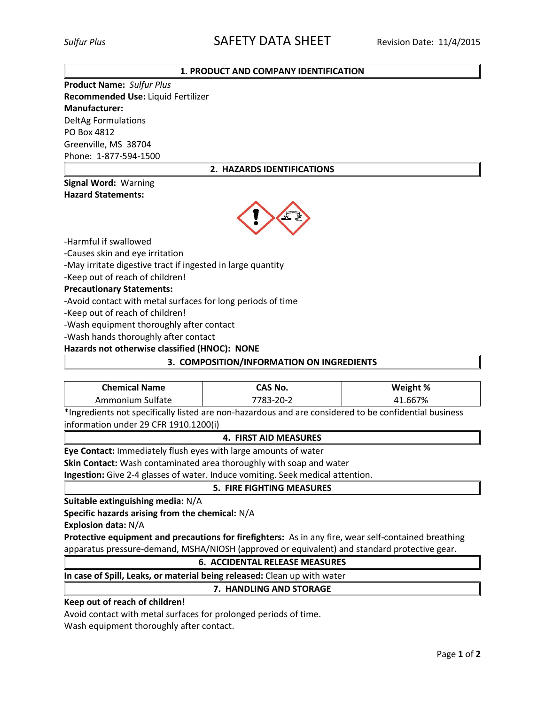# **1. PRODUCT AND COMPANY IDENTIFICATION**

**Product Name:** *Sulfur Plus* **Recommended Use:** Liquid Fertilizer **Manufacturer:** DeltAg Formulations PO Box 4812 Greenville, MS 38704 Phone: 1-877-594-1500

# **2. HAZARDS IDENTIFICATIONS**

## **Signal Word:** Warning **Hazard Statements:**



-Harmful if swallowed

-Causes skin and eye irritation

-May irritate digestive tract if ingested in large quantity

-Keep out of reach of children!

**Precautionary Statements:**

-Avoid contact with metal surfaces for long periods of time

-Keep out of reach of children!

-Wash equipment thoroughly after contact

-Wash hands thoroughly after contact

**Hazards not otherwise classified (HNOC): NONE**

## **3. COMPOSITION/INFORMATION ON INGREDIENTS**

| <b>Chemical Name</b> | CAS No.   | Weight % |
|----------------------|-----------|----------|
| Ammonium Sulfate     | 7783-20-2 | 41.667%  |

\*Ingredients not specifically listed are non-hazardous and are considered to be confidential business information under 29 CFR 1910.1200(i)

## **4. FIRST AID MEASURES**

**Eye Contact:** Immediately flush eyes with large amounts of water

**Skin Contact:** Wash contaminated area thoroughly with soap and water

**Ingestion:** Give 2-4 glasses of water. Induce vomiting. Seek medical attention.

## **5. FIRE FIGHTING MEASURES**

**Suitable extinguishing media:** N/A

**Specific hazards arising from the chemical:** N/A

**Explosion data:** N/A

**Protective equipment and precautions for firefighters:** As in any fire, wear self-contained breathing apparatus pressure-demand, MSHA/NIOSH (approved or equivalent) and standard protective gear.

## **6. ACCIDENTAL RELEASE MEASURES**

**In case of Spill, Leaks, or material being released:** Clean up with water

## **7. HANDLING AND STORAGE**

## **Keep out of reach of children!**

Avoid contact with metal surfaces for prolonged periods of time. Wash equipment thoroughly after contact.